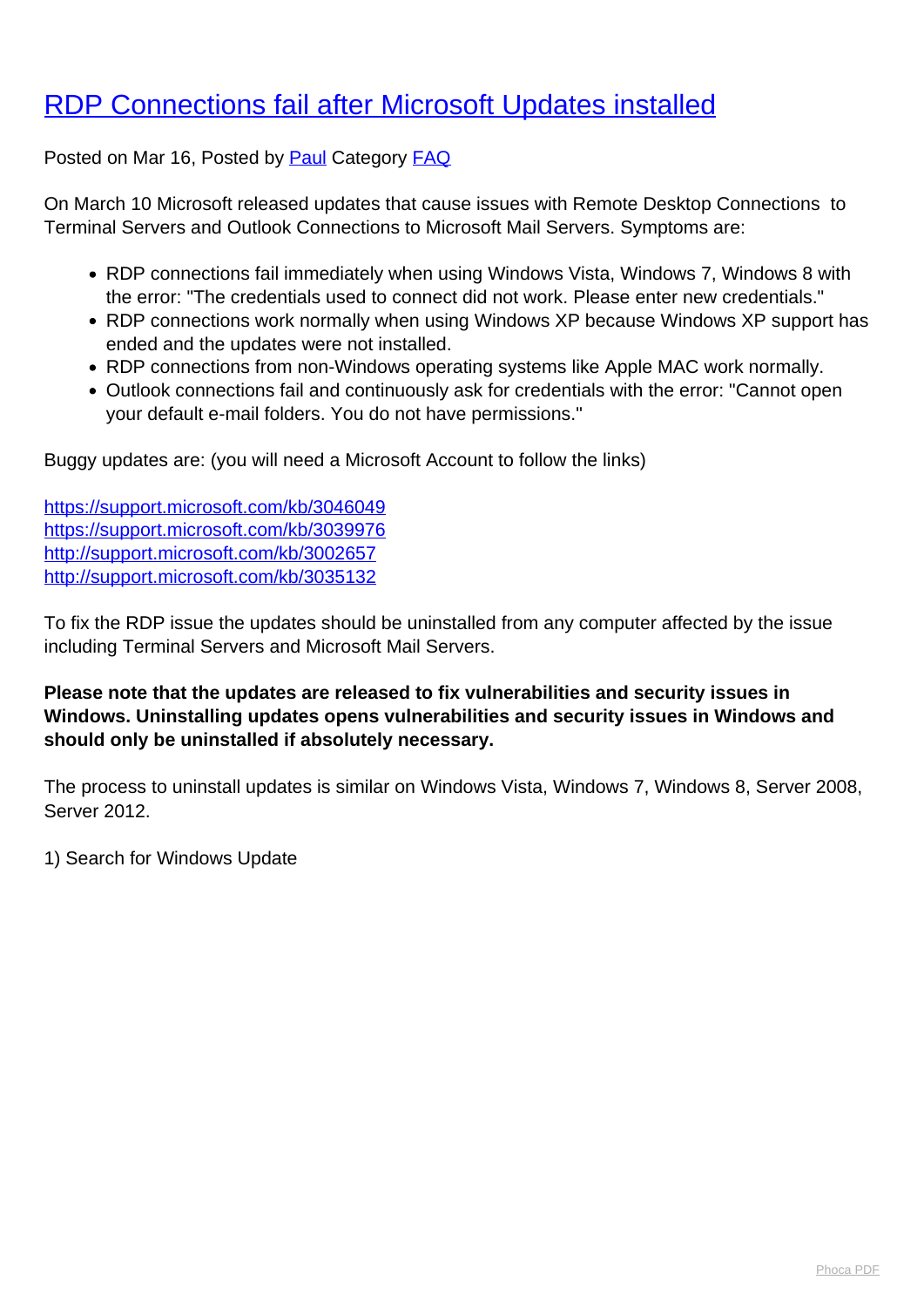## [RDP Connections fail after Microsoft Updates installed](http://www.computerdoctor.com.au/news/rdp-connections-fail-after-microsoft-updates-installed)

Posted on Mar 16, Posted by [Paul](http://www.computerdoctor.com.au/news/blogger/listings/paul) Category [FAQ](http://www.computerdoctor.com.au/news/categories/frequently-asked-questions)

On March 10 Microsoft released updates that cause issues with Remote Desktop Connections to Terminal Servers and Outlook Connections to Microsoft Mail Servers. Symptoms are:

- RDP connections fail immediately when using Windows Vista, Windows 7, Windows 8 with the error: "The credentials used to connect did not work. Please enter new credentials."
- RDP connections work normally when using Windows XP because Windows XP support has ended and the updates were not installed.
- RDP connections from non-Windows operating systems like Apple MAC work normally.
- Outlook connections fail and continuously ask for credentials with the error: "Cannot open your default e-mail folders. You do not have permissions."

Buggy updates are: (you will need a Microsoft Account to follow the links)

<https://support.microsoft.com/kb/3046049> <https://support.microsoft.com/kb/3039976> <http://support.microsoft.com/kb/3002657> <http://support.microsoft.com/kb/3035132>

To fix the RDP issue the updates should be uninstalled from any computer affected by the issue including Terminal Servers and Microsoft Mail Servers.

**Please note that the updates are released to fix vulnerabilities and security issues in Windows. Uninstalling updates opens vulnerabilities and security issues in Windows and should only be uninstalled if absolutely necessary.**

The process to uninstall updates is similar on Windows Vista, Windows 7, Windows 8, Server 2008, Server 2012.

1) Search for Windows Update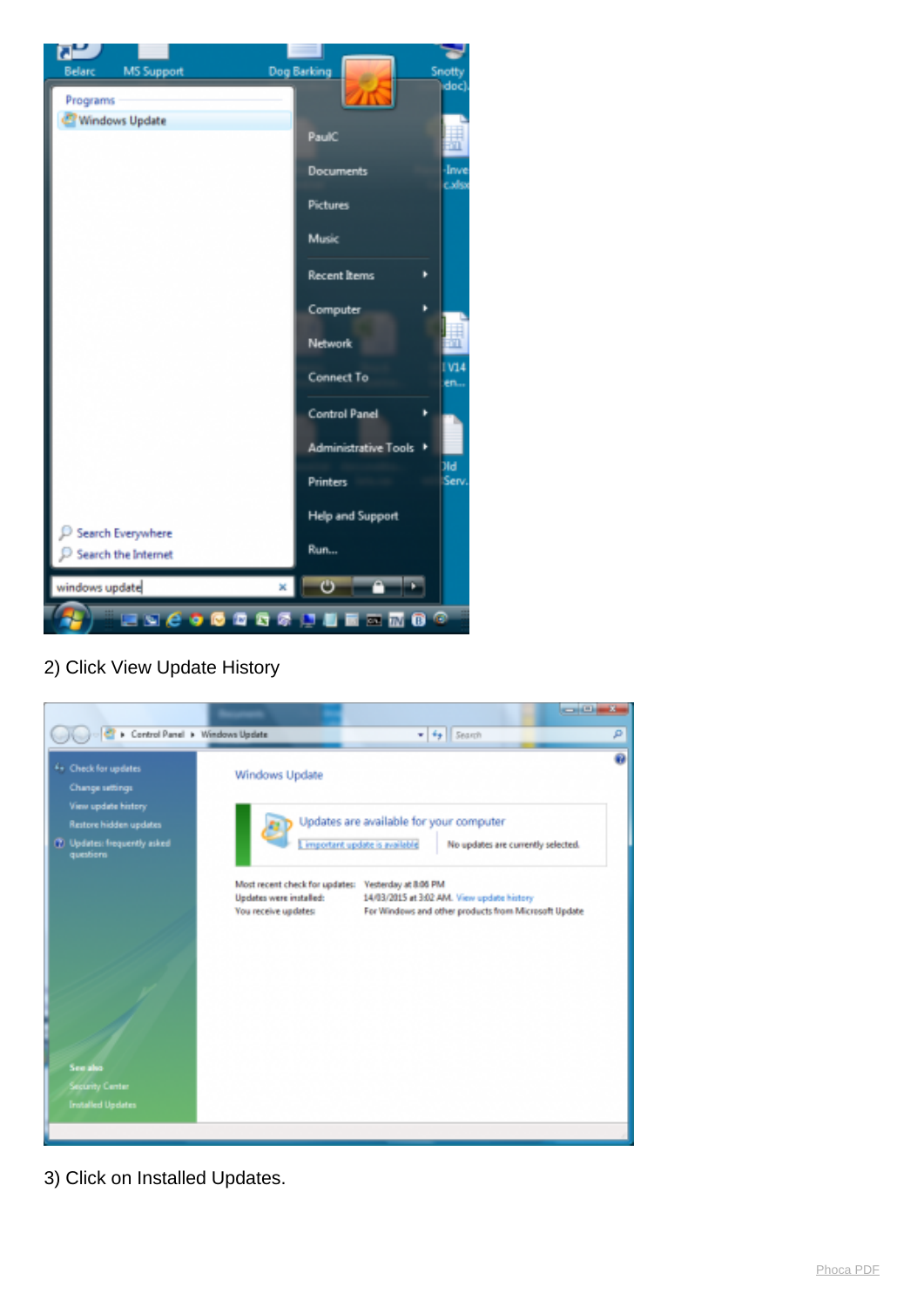

2) Click View Update History



3) Click on Installed Updates.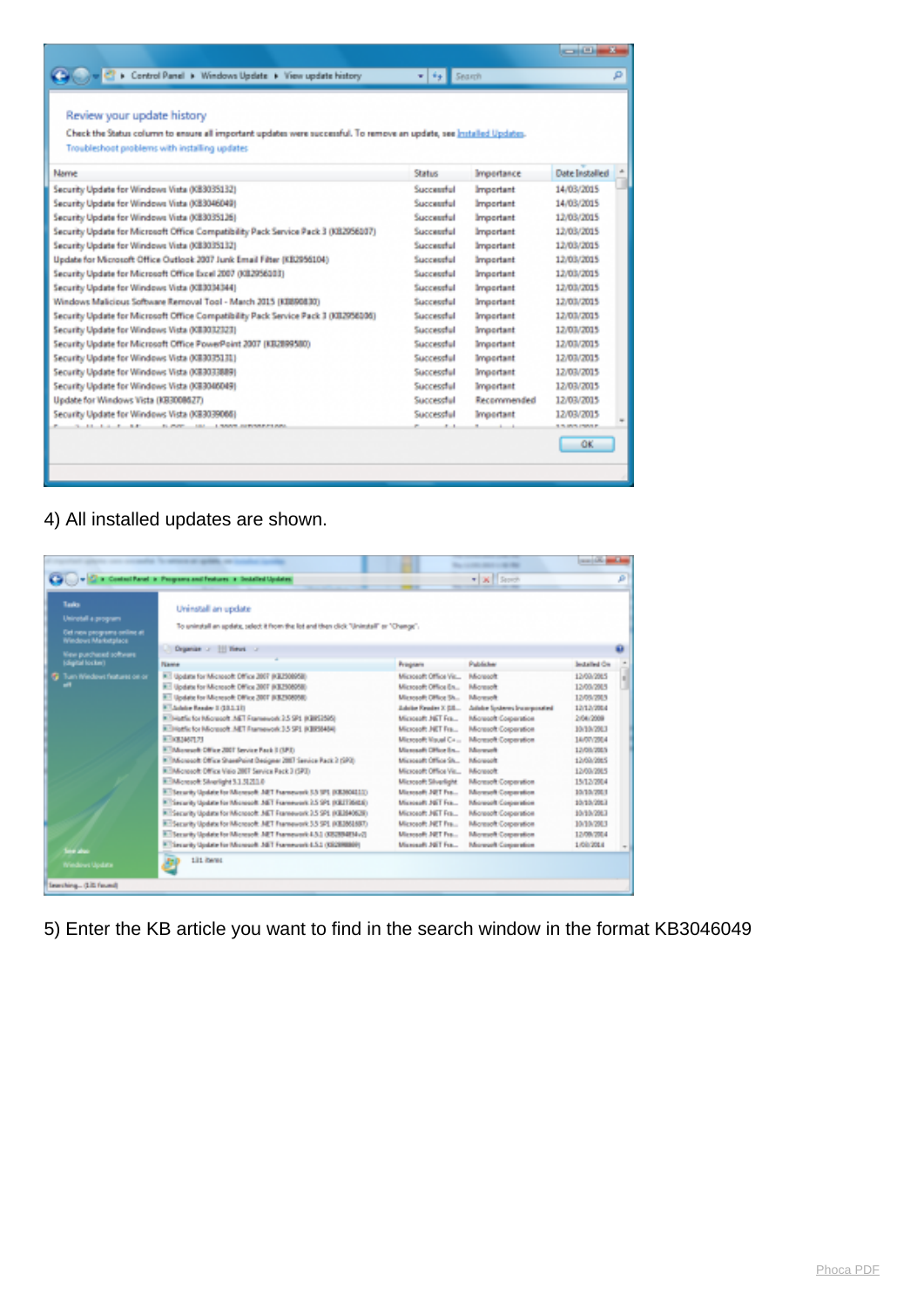|                                                                                                                      |                               |                   | الاستقلاب             |    |
|----------------------------------------------------------------------------------------------------------------------|-------------------------------|-------------------|-----------------------|----|
| Control Panel > Windows Update > View update history                                                                 | $\mathbf{v}$ , $\mathbf{v}$ , | Search            |                       | مر |
|                                                                                                                      |                               |                   |                       |    |
| Review your update history                                                                                           |                               |                   |                       |    |
|                                                                                                                      |                               |                   |                       |    |
| Check the Status column to ensure all important updates were successful. To remove an update, see Installed Updates. |                               |                   |                       |    |
| Troubleshoot problems with installing updates                                                                        |                               |                   |                       |    |
| Name                                                                                                                 | <b>Status</b>                 | <b>Impertance</b> | <b>Date Installed</b> |    |
| Security Update for Windows Vista (KB3035132)                                                                        | Successful                    | Important         | 14/03/2015            |    |
| Security Update for Windows Vista (KB3046049)                                                                        | Successful                    | Important         | 14/03/2015            |    |
| Security Update for Windows Vista (KB3035126)                                                                        | Successful                    | Important         | 12/03/2015            |    |
| Security Update for Microsoft Office Compatibility Pack Service Pack 3 (XB2956107)                                   | Successful                    | Important         | 12/03/2015            |    |
| Security Update for Windows Vista (KB3035132)                                                                        | Successful                    | Important         | 12/03/2015            |    |
| Update for Microsoft Office Outlook 2007 Junk Email Filter (KB2956104)                                               | Successful                    | Important         | 12/03/2015            |    |
| Security Update for Microsoft Office Excel 2007 (XB2956383)                                                          | Successful                    | Important         | 12/03/2015            |    |
| Security Update for Windows Vista (KE3034344)                                                                        | Successful                    | Important         | 12/03/2015            |    |
| Windows Malicipus Software Removal Tool - March 2015 (KB890830)                                                      | Successful                    | Important         | 12/03/2015            |    |
| Security Update for Microsoft Office Compatibility Pack Service Pack 3 (XII2956106)                                  | Succeotful                    | Important         | 12/03/2015            |    |
| Security Update for Windows Vista (KE3032323)                                                                        | Succeotful                    | Important         | 12/03/2015            |    |
| Security Update for Microsoft Office PowerPoint 2007 (KB2899580)                                                     | Succeotful                    | Important         | 12/03/2015            |    |
| Security Update for Windows Vista (KB3035131)                                                                        | Successful                    | Important         | 12/03/2015            |    |
| Security Update for Windows Vista (KB3033889)                                                                        | Successful                    | Important         | 12/03/2015            |    |
| Security Update for Windows Vista (XB3046049)                                                                        | Successful                    | Important         | 12/03/2015            |    |
| Update for Windows Vista (KB3008627)                                                                                 | Successful                    | Recommended       | 12/03/2015            |    |
| Security Update for Windows Vista (XB3039066)                                                                        | Successful                    | Important         | 12/03/2015            |    |
| <b>BLANK</b><br><b>181 LANNE SERVICES AN</b>                                                                         |                               |                   | <b>ERIMA PMAR</b>     |    |
|                                                                                                                      |                               |                   | OK                    |    |
|                                                                                                                      |                               |                   |                       |    |
|                                                                                                                      |                               |                   |                       |    |

## 4) All installed updates are shown.

|                                                                                                              | C in Control Parel in Programs and Features in Socialized Updates                                                                                                                                                                                                                                                                                                                                                                                                                                                                                                                                                                                                                                                                                                                                                                                                                                                                                                                                                       |                                                                                                                                                                                                                                                                                                                                                                                                        | $\bullet$ <b>X</b> Street                                                                                                                                                                                                                                                                                                                             |                                                                                                                                                                                                                                        |  |
|--------------------------------------------------------------------------------------------------------------|-------------------------------------------------------------------------------------------------------------------------------------------------------------------------------------------------------------------------------------------------------------------------------------------------------------------------------------------------------------------------------------------------------------------------------------------------------------------------------------------------------------------------------------------------------------------------------------------------------------------------------------------------------------------------------------------------------------------------------------------------------------------------------------------------------------------------------------------------------------------------------------------------------------------------------------------------------------------------------------------------------------------------|--------------------------------------------------------------------------------------------------------------------------------------------------------------------------------------------------------------------------------------------------------------------------------------------------------------------------------------------------------------------------------------------------------|-------------------------------------------------------------------------------------------------------------------------------------------------------------------------------------------------------------------------------------------------------------------------------------------------------------------------------------------------------|----------------------------------------------------------------------------------------------------------------------------------------------------------------------------------------------------------------------------------------|--|
| Tarks<br>Uninotell a program<br>Det new programs online at<br>Windows Marketplace<br>ties purchased software | Uninstall an update<br>To uninstall an apdate, select it from the lot and then click "Uninstall" or "Change".<br>Deparise - III Yerus -                                                                                                                                                                                                                                                                                                                                                                                                                                                                                                                                                                                                                                                                                                                                                                                                                                                                                 |                                                                                                                                                                                                                                                                                                                                                                                                        |                                                                                                                                                                                                                                                                                                                                                       |                                                                                                                                                                                                                                        |  |
| (digital locker)                                                                                             | <b>Name</b>                                                                                                                                                                                                                                                                                                                                                                                                                                                                                                                                                                                                                                                                                                                                                                                                                                                                                                                                                                                                             | Program                                                                                                                                                                                                                                                                                                                                                                                                | Publicher                                                                                                                                                                                                                                                                                                                                             | <b>Jedailed On</b>                                                                                                                                                                                                                     |  |
| <b>G</b> Turn Windows features on or<br>پي<br><b>Since about</b><br>Windows Update                           | RT Update for Microsoft Office 2007 (KB2500958)<br>R. Update for Microsoft Office 2007 (KS2308958)<br>E Update for Microsoft Office 2007 (KSZ308058)<br><sup>8</sup> Adobe Reader 1 (10.1.11)<br>Rill-Katfie for Microsoft .NET Framework 2.5 SP1 (KBIS2505)<br>Richteffe for Microsoft. AET Framework 3.5 SF1 (KBRSMA)<br>R-1033467173<br>A Monroek Office 2007 Service Pack I (SPI)<br>P. Morecoft Office SharePoint Designer 2007 Service Pack 2 (SP3)<br>REMoresoft Office Valo 2007 Service Pack 3 (SP3)<br>R: Moresoft Sharlight 3.1.5120.0<br>El Terrarity Update for Microsoft. AET Framework 5.5 SFL (KE360411).<br><sup>8</sup> Tierarity Update for Microsoft. All Titanework 2.5 SP1 (KEITIGES)<br>Rifferarity Update for Microsoft. NET Framework 3.5 SP1 (KE2840628)<br>R: Security Update for Microsoft. AET Framework 3.5 SP1 (KE3851697)<br>El Security Update for Microsoft JATT Framework 4.5.1 (XE2894EMv2)<br>El'Escurity Update for Monrooft Jdi T Framework LS.1 (032000000)<br>131 iberes<br>P. | Microsoft Office Vir.<br>Microsoft Office En<br>Microsoft Office St<br>Adoles Reader X (18<br>Microsoft J6T Fox<br>Microsoft JATT Fra<br>Microsoft Visual Ca.,<br>Microsoft Office In<br>Microsoft Office Sh<br>Microsoft Office Vir<br><b>Microsoft Silverlight</b><br>Microsoft JET Fee<br>Microsoft JdiT Fex<br>Microsoft JATT Fra<br>Microsoft JVET Fra<br>Microsoft JET Fra<br>Microsoft 30(T Fee | Moreott<br>Microsoft<br>Moresoft<br>Adobe Systems Incorporated<br>Microcoft Corporation<br>Microsoft Corporation<br>Microsoft Corporation<br>Morealt<br>Morecoft<br>Microsoft<br>Microsoft Corporation<br>Monselt Coperation<br>Microcoft Corporation<br>Microsoft Corporation<br>Microsoft Corporation<br>Monach Cognration<br>Microsoft Corporation | 12/03/2085<br>12/03/2015<br>1209/283<br>12/12/2004<br>2/04/2008<br>10/10/2013<br>14/07/2014<br>12/08/2015<br>12/03/2085<br>12/03/2015<br>15/12/2014<br>10/10/2001<br>10/10/2083<br>10/10/2013<br>10/10/2013<br>12/09/2004<br>1/09/2014 |  |

5) Enter the KB article you want to find in the search window in the format KB3046049